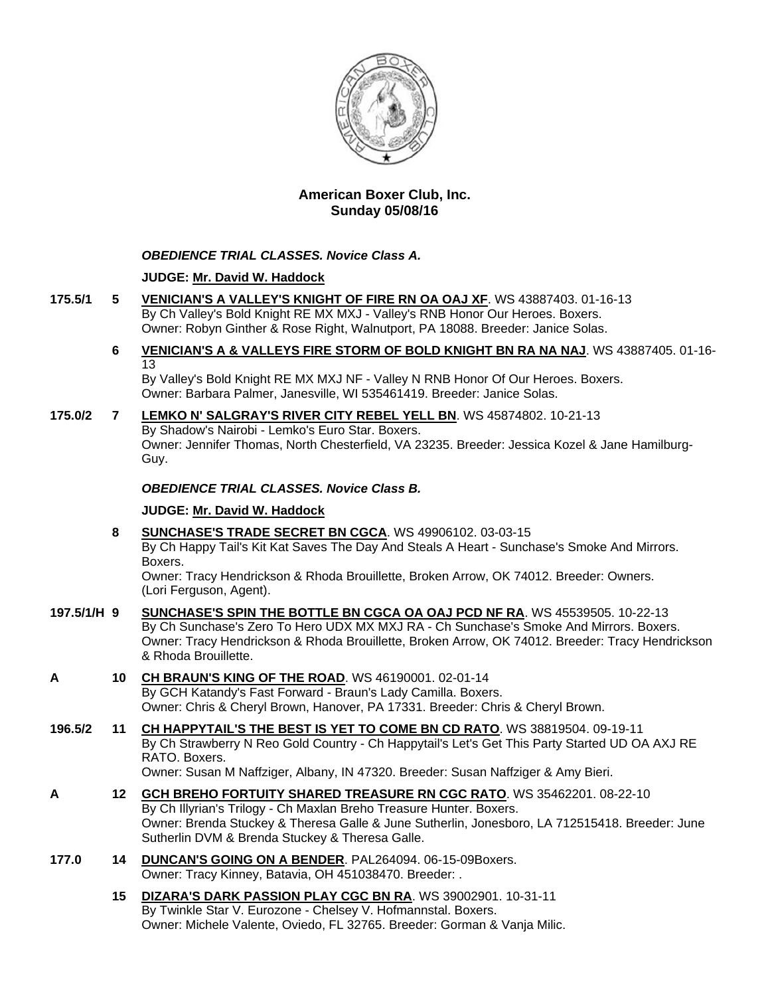

# **American Boxer Club, Inc. Sunday 05/08/16**

# *OBEDIENCE TRIAL CLASSES. Novice Class A.*

# **JUDGE: [Mr. David W. Haddock](http://www.infodog.com/show/judge/jdgprofile.htm?jn=18846)**

- **175.5/1 5 [VENICIAN'S A VALLEY'S KNIGHT OF FIRE RN OA OAJ XF](http://www.infodog.com/my/drlookup2.htm?makc=WS%2043887403&mdog=Venician%27s+A+Valley%27s+Knight+Of+Fire+RN+OA+OAJ+XF&wins=all)**. WS 43887403. 01-16-13 By Ch Valley's Bold Knight RE MX MXJ - Valley's RNB Honor Our Heroes. Boxers. Owner: Robyn Ginther & Rose Right, Walnutport, PA 18088. Breeder: Janice Solas.
	- **6 [VENICIAN'S A & VALLEYS FIRE STORM OF BOLD KNIGHT BN RA NA NAJ](http://www.infodog.com/my/drlookup2.htm?makc=WS%2043887405&mdog=Venician%27s+A+&+Valleys+Fire+Storm+Of+Bold+Knight+BN+RA+NA+NAJ&wins=all)**. WS 43887405. 01-16- 13

By Valley's Bold Knight RE MX MXJ NF - Valley N RNB Honor Of Our Heroes. Boxers. Owner: Barbara Palmer, Janesville, WI 535461419. Breeder: Janice Solas.

**175.0/2 7 [LEMKO N' SALGRAY'S RIVER CITY REBEL YELL BN](http://www.infodog.com/my/drlookup2.htm?makc=WS%2045874802&mdog=Lemko+N%27+Salgray%27s+River+City+Rebel+Yell+BN&wins=all)**. WS 45874802. 10-21-13 By Shadow's Nairobi - Lemko's Euro Star. Boxers. Owner: Jennifer Thomas, North Chesterfield, VA 23235. Breeder: Jessica Kozel & Jane Hamilburg-Guy.

# *OBEDIENCE TRIAL CLASSES. Novice Class B.*

# **JUDGE: [Mr. David W. Haddock](http://www.infodog.com/show/judge/jdgprofile.htm?jn=18846)**

**8 [SUNCHASE'S TRADE SECRET BN CGCA](http://www.infodog.com/my/drlookup2.htm?makc=WS%2049906102&mdog=Sunchase%27s+Trade+Secret+BN+CGCA&wins=all)**. WS 49906102. 03-03-15 By Ch Happy Tail's Kit Kat Saves The Day And Steals A Heart - Sunchase's Smoke And Mirrors. Boxers.

Owner: Tracy Hendrickson & Rhoda Brouillette, Broken Arrow, OK 74012. Breeder: Owners. (Lori Ferguson, Agent).

- **197.5/1/H 9 [SUNCHASE'S SPIN THE BOTTLE BN CGCA OA OAJ PCD NF RA](http://www.infodog.com/my/drlookup2.htm?makc=WS%2045539505&mdog=Sunchase%27s+Spin+The+Bottle+BN+CGCA+OA+OAJ+PCD+NF+RA&wins=all)**. WS 45539505. 10-22-13 By Ch Sunchase's Zero To Hero UDX MX MXJ RA - Ch Sunchase's Smoke And Mirrors. Boxers. Owner: Tracy Hendrickson & Rhoda Brouillette, Broken Arrow, OK 74012. Breeder: Tracy Hendrickson & Rhoda Brouillette.
- **A 10 [CH BRAUN'S KING OF THE ROAD](http://www.infodog.com/my/drlookup2.htm?makc=WS%2046190001&mdog=Ch+Braun%27s+King+Of+The+Road&wins=all)**. WS 46190001. 02-01-14 By GCH Katandy's Fast Forward - Braun's Lady Camilla. Boxers. Owner: Chris & Cheryl Brown, Hanover, PA 17331. Breeder: Chris & Cheryl Brown.
- **196.5/2 11 [CH HAPPYTAIL'S THE BEST IS YET TO COME BN CD RATO](http://www.infodog.com/my/drlookup2.htm?makc=WS%2038819504&mdog=Ch+Happytail%27s+The+Best+Is+Yet+To+Come+BN+CD+RATO&wins=all)**. WS 38819504. 09-19-11 By Ch Strawberry N Reo Gold Country - Ch Happytail's Let's Get This Party Started UD OA AXJ RE RATO. Boxers. Owner: Susan M Naffziger, Albany, IN 47320. Breeder: Susan Naffziger & Amy Bieri.
- **A 12 [GCH BREHO FORTUITY SHARED TREASURE RN CGC RATO](http://www.infodog.com/my/drlookup2.htm?makc=WS%2035462201&mdog=GCH+Breho+Fortuity+Shared+Treasure+RN+CGC+RATO&wins=all)**. WS 35462201. 08-22-10 By Ch Illyrian's Trilogy - Ch Maxlan Breho Treasure Hunter. Boxers. Owner: Brenda Stuckey & Theresa Galle & June Sutherlin, Jonesboro, LA 712515418. Breeder: June Sutherlin DVM & Brenda Stuckey & Theresa Galle.
- **177.0 14 [DUNCAN'S GOING ON A BENDER](http://www.infodog.com/my/drlookup2.htm?makc=PAL264094&mdog=Duncan%27s+Going+On+A+Bender&wins=all)**. PAL264094. 06-15-09Boxers. Owner: Tracy Kinney, Batavia, OH 451038470. Breeder: .
	- **15 [DIZARA'S DARK PASSION PLAY CGC BN RA](http://www.infodog.com/my/drlookup2.htm?makc=WS%2039002901&mdog=Dizara%27s+Dark+Passion+Play+CGC+BN+RA&wins=all)**. WS 39002901. 10-31-11 By Twinkle Star V. Eurozone - Chelsey V. Hofmannstal. Boxers. Owner: Michele Valente, Oviedo, FL 32765. Breeder: Gorman & Vanja Milic.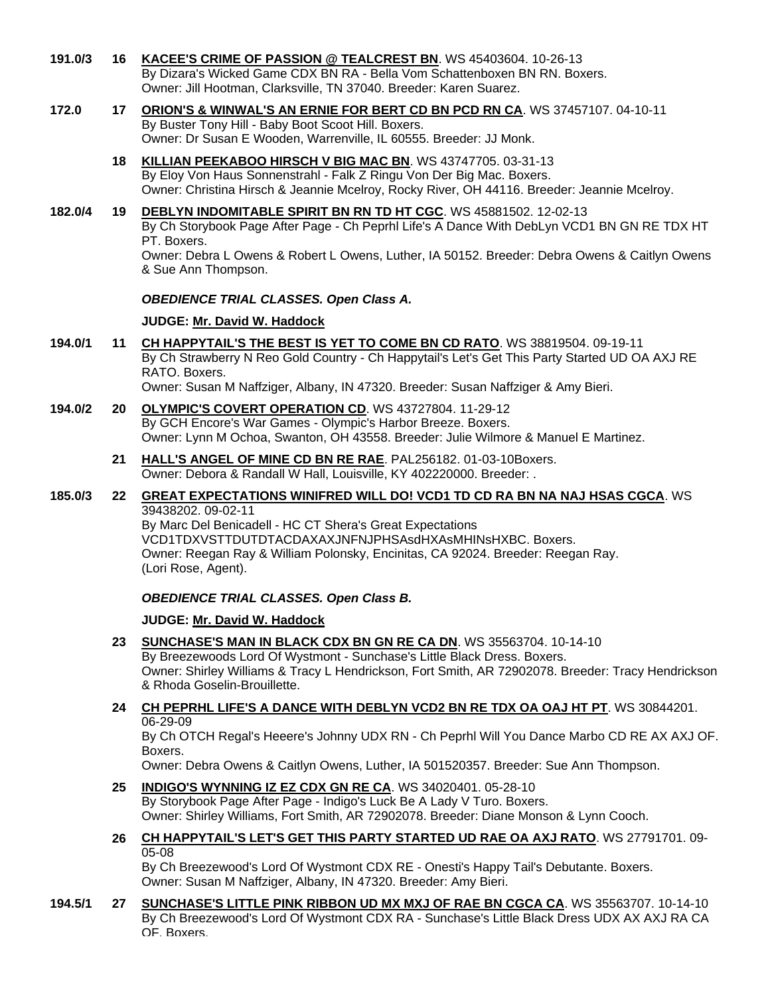- **191.0/3 16 [KACEE'S CRIME OF PASSION @ TEALCREST BN](http://www.infodog.com/my/drlookup2.htm?makc=WS%2045403604&mdog=KaCee%27s+Crime+Of+Passion+@+Tealcrest+BN&wins=all)**. WS 45403604. 10-26-13 By Dizara's Wicked Game CDX BN RA - Bella Vom Schattenboxen BN RN. Boxers. Owner: Jill Hootman, Clarksville, TN 37040. Breeder: Karen Suarez.
- **172.0 17 [ORION'S & WINWAL'S AN ERNIE FOR BERT CD BN PCD RN CA](http://www.infodog.com/my/drlookup2.htm?makc=WS%2037457107&mdog=Orion%27s+&+Winwal%27s+An+Ernie+For+Bert+CD+BN+PCD+RN+CA&wins=all)**. WS 37457107. 04-10-11 By Buster Tony Hill - Baby Boot Scoot Hill. Boxers. Owner: Dr Susan E Wooden, Warrenville, IL 60555. Breeder: JJ Monk.
	- **18 [KILLIAN PEEKABOO HIRSCH V BIG MAC BN](http://www.infodog.com/my/drlookup2.htm?makc=WS%2043747705&mdog=Killian+Peekaboo+Hirsch+V+Big+Mac+BN&wins=all)**. WS 43747705. 03-31-13 By Eloy Von Haus Sonnenstrahl - Falk Z Ringu Von Der Big Mac. Boxers. Owner: Christina Hirsch & Jeannie Mcelroy, Rocky River, OH 44116. Breeder: Jeannie Mcelroy.
- **182.0/4 19 [DEBLYN INDOMITABLE SPIRIT BN RN TD HT CGC](http://www.infodog.com/my/drlookup2.htm?makc=WS%2045881502&mdog=DebLyn+Indomitable+Spirit+BN+RN+TD+HT+CGC&wins=all)**. WS 45881502. 12-02-13 By Ch Storybook Page After Page - Ch Peprhl Life's A Dance With DebLyn VCD1 BN GN RE TDX HT PT. Boxers. Owner: Debra L Owens & Robert L Owens, Luther, IA 50152. Breeder: Debra Owens & Caitlyn Owens & Sue Ann Thompson.

#### *OBEDIENCE TRIAL CLASSES. Open Class A.*

#### **JUDGE: [Mr. David W. Haddock](http://www.infodog.com/show/judge/jdgprofile.htm?jn=18846)**

**194.0/1 11 [CH HAPPYTAIL'S THE BEST IS YET TO COME BN CD RATO](http://www.infodog.com/my/drlookup2.htm?makc=WS%2038819504&mdog=Ch+Happytail%27s+The+Best+Is+Yet+To+Come+BN+CD+RATO&wins=all)**. WS 38819504. 09-19-11 By Ch Strawberry N Reo Gold Country - Ch Happytail's Let's Get This Party Started UD OA AXJ RE RATO. Boxers.

Owner: Susan M Naffziger, Albany, IN 47320. Breeder: Susan Naffziger & Amy Bieri.

- **194.0/2 20 [OLYMPIC'S COVERT OPERATION CD](http://www.infodog.com/my/drlookup2.htm?makc=WS%2043727804&mdog=Olympic%27s+Covert+Operation+CD&wins=all)**. WS 43727804. 11-29-12 By GCH Encore's War Games - Olympic's Harbor Breeze. Boxers. Owner: Lynn M Ochoa, Swanton, OH 43558. Breeder: Julie Wilmore & Manuel E Martinez.
	- **21 [HALL'S ANGEL OF MINE CD BN RE RAE](http://www.infodog.com/my/drlookup2.htm?makc=PAL256182&mdog=Hall%27s+Angel+Of+Mine+CD+BN+RE+RAE&wins=all)**. PAL256182. 01-03-10Boxers. Owner: Debora & Randall W Hall, Louisville, KY 402220000. Breeder: .

#### **185.0/3 22 [GREAT EXPECTATIONS WINIFRED WILL DO! VCD1 TD CD RA BN NA NAJ HSAS CGCA](http://www.infodog.com/my/drlookup2.htm?makc=WS%2039438202&mdog=Great+Expectations+Winifred+Will+Do%21+VCD1+TD+CD+RA+BN+NA+NAJ+HSAs+CGCA&wins=all)**. WS 39438202. 09-02-11

By Marc Del Benicadell - HC CT Shera's Great Expectations VCD1TDXVSTTDUTDTACDAXAXJNFNJPHSAsdHXAsMHINsHXBC. Boxers. Owner: Reegan Ray & William Polonsky, Encinitas, CA 92024. Breeder: Reegan Ray. (Lori Rose, Agent).

# *OBEDIENCE TRIAL CLASSES. Open Class B.*

# **JUDGE: [Mr. David W. Haddock](http://www.infodog.com/show/judge/jdgprofile.htm?jn=18846)**

- **23 [SUNCHASE'S MAN IN BLACK CDX BN GN RE CA DN](http://www.infodog.com/my/drlookup2.htm?makc=WS%2035563704&mdog=Sunchase%27s+Man+In+Black+CDX+BN+GN+RE+CA+DN&wins=all)**. WS 35563704. 10-14-10 By Breezewoods Lord Of Wystmont - Sunchase's Little Black Dress. Boxers. Owner: Shirley Williams & Tracy L Hendrickson, Fort Smith, AR 72902078. Breeder: Tracy Hendrickson & Rhoda Goselin-Brouillette.
- **24 [CH PEPRHL LIFE'S A DANCE WITH DEBLYN VCD2 BN RE TDX OA OAJ HT PT](http://www.infodog.com/my/drlookup2.htm?makc=WS%2030844201&mdog=Ch+Peprhl+Life%27s+A+Dance+With+DebLyn+VCD2+BN+RE+TDX+OA+OAJ+HT+PT&wins=all)**. WS 30844201. 06-29-09

By Ch OTCH Regal's Heeere's Johnny UDX RN - Ch Peprhl Will You Dance Marbo CD RE AX AXJ OF. Boxers.

Owner: Debra Owens & Caitlyn Owens, Luther, IA 501520357. Breeder: Sue Ann Thompson.

**25 [INDIGO'S WYNNING IZ EZ CDX GN RE CA](http://www.infodog.com/my/drlookup2.htm?makc=WS%2034020401&mdog=Indigo%27s+Wynning+Iz+Ez+CDX+GN+RE+CA&wins=all)**. WS 34020401. 05-28-10

By Storybook Page After Page - Indigo's Luck Be A Lady V Turo. Boxers. Owner: Shirley Williams, Fort Smith, AR 72902078. Breeder: Diane Monson & Lynn Cooch.

**26 [CH HAPPYTAIL'S LET'S GET THIS PARTY STARTED UD RAE OA AXJ RATO](http://www.infodog.com/my/drlookup2.htm?makc=WS%2027791701&mdog=Ch+Happytail%27s+Let%27s+Get+This+Party+Started+UD+RAE+OA+AXJ+RATO&wins=all)**. WS 27791701. 09- 05-08

By Ch Breezewood's Lord Of Wystmont CDX RE - Onesti's Happy Tail's Debutante. Boxers. Owner: Susan M Naffziger, Albany, IN 47320. Breeder: Amy Bieri.

**194.5/1 27 [SUNCHASE'S LITTLE PINK RIBBON UD MX MXJ OF RAE BN CGCA CA](http://www.infodog.com/my/drlookup2.htm?makc=WS%2035563707&mdog=Sunchase%27s+Little+Pink+Ribbon+UD+MX+MXJ+OF+RAE+BN+CGCA+CA&wins=all)**. WS 35563707. 10-14-10 By Ch Breezewood's Lord Of Wystmont CDX RA - Sunchase's Little Black Dress UDX AX AXJ RA CA OF. Boxers.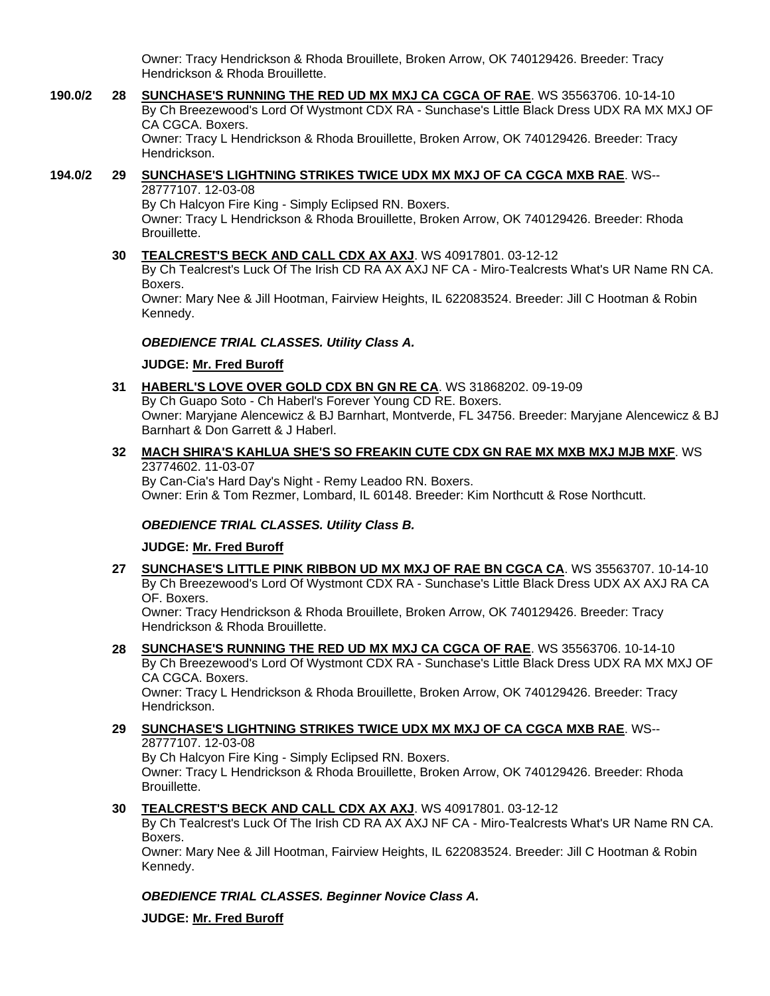Owner: Tracy Hendrickson & Rhoda Brouillete, Broken Arrow, OK 740129426. Breeder: Tracy Hendrickson & Rhoda Brouillette.

**190.0/2 28 [SUNCHASE'S RUNNING THE RED UD MX MXJ CA CGCA OF RAE](http://www.infodog.com/my/drlookup2.htm?makc=WS%2035563706&mdog=Sunchase%27s+Running+The+Red+UD+MX+MXJ+CA+CGCA+OF+RAE&wins=all)**. WS 35563706. 10-14-10 By Ch Breezewood's Lord Of Wystmont CDX RA - Sunchase's Little Black Dress UDX RA MX MXJ OF CA CGCA. Boxers. Owner: Tracy L Hendrickson & Rhoda Brouillette, Broken Arrow, OK 740129426. Breeder: Tracy Hendrickson.

#### **194.0/2 29 [SUNCHASE'S LIGHTNING STRIKES TWICE UDX MX MXJ OF CA CGCA MXB RAE](http://www.infodog.com/my/drlookup2.htm?makc=WS--28777107&mdog=Sunchase%27s+Lightning+Strikes+Twice+UDX+MX+MXJ+OF+CA+CGCA+MXB+RAE&wins=all)**. WS-- 28777107. 12-03-08

By Ch Halcyon Fire King - Simply Eclipsed RN. Boxers. Owner: Tracy L Hendrickson & Rhoda Brouillette, Broken Arrow, OK 740129426. Breeder: Rhoda Brouillette.

**30 [TEALCREST'S BECK AND CALL CDX AX AXJ](http://www.infodog.com/my/drlookup2.htm?makc=WS%2040917801&mdog=Tealcrest%27s+Beck+And+Call+CDX+AX+AXJ&wins=all)**. WS 40917801. 03-12-12

By Ch Tealcrest's Luck Of The Irish CD RA AX AXJ NF CA - Miro-Tealcrests What's UR Name RN CA. Boxers.

Owner: Mary Nee & Jill Hootman, Fairview Heights, IL 622083524. Breeder: Jill C Hootman & Robin Kennedy.

# *OBEDIENCE TRIAL CLASSES. Utility Class A.*

**JUDGE: [Mr. Fred Buroff](http://www.infodog.com/show/judge/jdgprofile.htm?jn=5277)**

**31 [HABERL'S LOVE OVER GOLD CDX BN GN RE CA](http://www.infodog.com/my/drlookup2.htm?makc=WS%2031868202&mdog=Haberl%27s+Love+Over+Gold+CDX+BN+GN+RE+CA&wins=all)**. WS 31868202. 09-19-09 By Ch Guapo Soto - Ch Haberl's Forever Young CD RE. Boxers. Owner: Maryjane Alencewicz & BJ Barnhart, Montverde, FL 34756. Breeder: Maryjane Alencewicz & BJ Barnhart & Don Garrett & J Haberl.

### **32 [MACH SHIRA'S KAHLUA SHE'S SO FREAKIN CUTE CDX GN RAE MX MXB MXJ MJB MXF](http://www.infodog.com/my/drlookup2.htm?makc=WS%2023774602&mdog=MACH+Shira%27s+Kahlua+She%27s+So+Freakin+Cute+CDX+GN+RAE+MX+MXB+MXJ+MJB+MXF&wins=all)**. WS 23774602. 11-03-07

By Can-Cia's Hard Day's Night - Remy Leadoo RN. Boxers. Owner: Erin & Tom Rezmer, Lombard, IL 60148. Breeder: Kim Northcutt & Rose Northcutt.

# *OBEDIENCE TRIAL CLASSES. Utility Class B.*

# **JUDGE: [Mr. Fred Buroff](http://www.infodog.com/show/judge/jdgprofile.htm?jn=5277)**

**27 [SUNCHASE'S LITTLE PINK RIBBON UD MX MXJ OF RAE BN CGCA CA](http://www.infodog.com/my/drlookup2.htm?makc=WS%2035563707&mdog=Sunchase%27s+Little+Pink+Ribbon+UD+MX+MXJ+OF+RAE+BN+CGCA+CA&wins=all)**. WS 35563707. 10-14-10 By Ch Breezewood's Lord Of Wystmont CDX RA - Sunchase's Little Black Dress UDX AX AXJ RA CA OF. Boxers.

Owner: Tracy Hendrickson & Rhoda Brouillete, Broken Arrow, OK 740129426. Breeder: Tracy Hendrickson & Rhoda Brouillette.

**28 [SUNCHASE'S RUNNING THE RED UD MX MXJ CA CGCA OF RAE](http://www.infodog.com/my/drlookup2.htm?makc=WS%2035563706&mdog=Sunchase%27s+Running+The+Red+UD+MX+MXJ+CA+CGCA+OF+RAE&wins=all)**. WS 35563706. 10-14-10 By Ch Breezewood's Lord Of Wystmont CDX RA - Sunchase's Little Black Dress UDX RA MX MXJ OF CA CGCA. Boxers.

Owner: Tracy L Hendrickson & Rhoda Brouillette, Broken Arrow, OK 740129426. Breeder: Tracy Hendrickson.

**29 [SUNCHASE'S LIGHTNING STRIKES TWICE UDX MX MXJ OF CA CGCA MXB RAE](http://www.infodog.com/my/drlookup2.htm?makc=WS--28777107&mdog=Sunchase%27s+Lightning+Strikes+Twice+UDX+MX+MXJ+OF+CA+CGCA+MXB+RAE&wins=all)**. WS-- 28777107. 12-03-08 By Ch Halcyon Fire King - Simply Eclipsed RN. Boxers. Owner: Tracy L Hendrickson & Rhoda Brouillette, Broken Arrow, OK 740129426. Breeder: Rhoda Brouillette.

# **30 [TEALCREST'S BECK AND CALL CDX AX AXJ](http://www.infodog.com/my/drlookup2.htm?makc=WS%2040917801&mdog=Tealcrest%27s+Beck+And+Call+CDX+AX+AXJ&wins=all)**. WS 40917801. 03-12-12

By Ch Tealcrest's Luck Of The Irish CD RA AX AXJ NF CA - Miro-Tealcrests What's UR Name RN CA. Boxers.

Owner: Mary Nee & Jill Hootman, Fairview Heights, IL 622083524. Breeder: Jill C Hootman & Robin Kennedy.

# *OBEDIENCE TRIAL CLASSES. Beginner Novice Class A.*

**JUDGE: [Mr. Fred Buroff](http://www.infodog.com/show/judge/jdgprofile.htm?jn=5277)**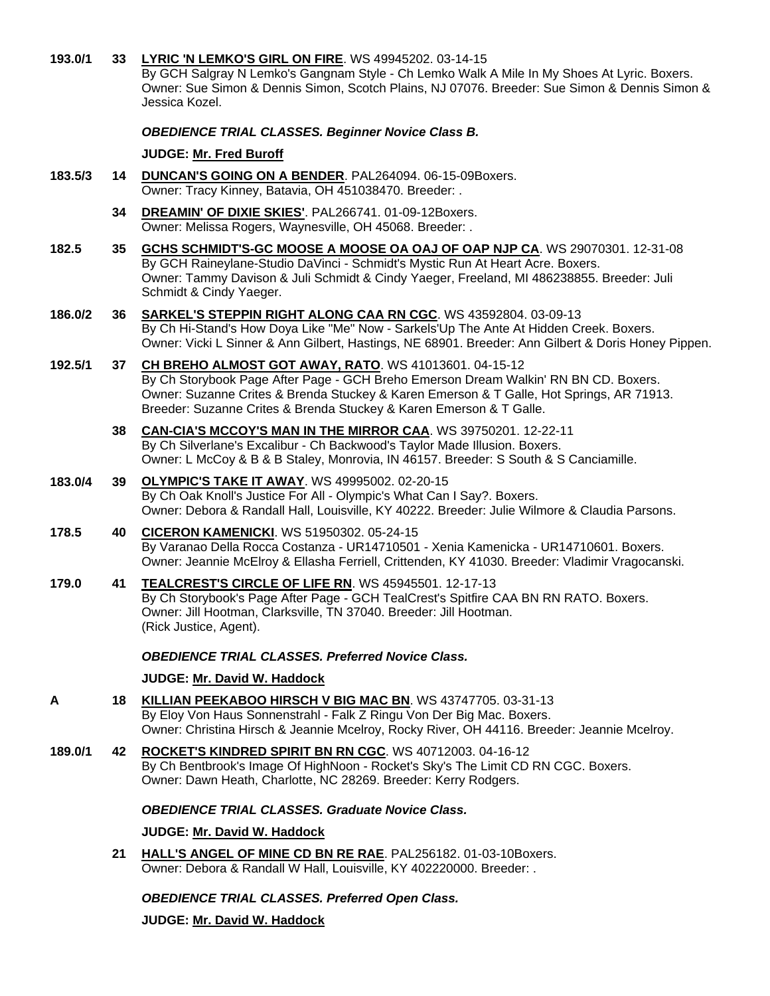| 193.0/1 | 33              | LYRIC 'N LEMKO'S GIRL ON FIRE. WS 49945202. 03-14-15<br>By GCH Salgray N Lemko's Gangnam Style - Ch Lemko Walk A Mile In My Shoes At Lyric. Boxers.<br>Owner: Sue Simon & Dennis Simon, Scotch Plains, NJ 07076. Breeder: Sue Simon & Dennis Simon &<br>Jessica Kozel.                                          |
|---------|-----------------|-----------------------------------------------------------------------------------------------------------------------------------------------------------------------------------------------------------------------------------------------------------------------------------------------------------------|
|         |                 | <b>OBEDIENCE TRIAL CLASSES. Beginner Novice Class B.</b>                                                                                                                                                                                                                                                        |
|         |                 | <b>JUDGE: Mr. Fred Buroff</b>                                                                                                                                                                                                                                                                                   |
| 183.5/3 | 14              | DUNCAN'S GOING ON A BENDER. PAL264094. 06-15-09Boxers.<br>Owner: Tracy Kinney, Batavia, OH 451038470. Breeder: .                                                                                                                                                                                                |
|         | 34              | DREAMIN' OF DIXIE SKIES'. PAL266741. 01-09-12Boxers.<br>Owner: Melissa Rogers, Waynesville, OH 45068. Breeder: .                                                                                                                                                                                                |
| 182.5   | 35 <sub>5</sub> | GCHS SCHMIDT'S-GC MOOSE A MOOSE OA OAJ OF OAP NJP CA. WS 29070301. 12-31-08<br>By GCH Raineylane-Studio DaVinci - Schmidt's Mystic Run At Heart Acre. Boxers.<br>Owner: Tammy Davison & Juli Schmidt & Cindy Yaeger, Freeland, MI 486238855. Breeder: Juli<br>Schmidt & Cindy Yaeger.                           |
| 186.0/2 | 36              | <b>SARKEL'S STEPPIN RIGHT ALONG CAA RN CGC. WS 43592804. 03-09-13</b><br>By Ch Hi-Stand's How Doya Like "Me" Now - Sarkels'Up The Ante At Hidden Creek. Boxers.<br>Owner: Vicki L Sinner & Ann Gilbert, Hastings, NE 68901. Breeder: Ann Gilbert & Doris Honey Pippen.                                          |
| 192.5/1 | 37              | CH BREHO ALMOST GOT AWAY, RATO. WS 41013601. 04-15-12<br>By Ch Storybook Page After Page - GCH Breho Emerson Dream Walkin' RN BN CD. Boxers.<br>Owner: Suzanne Crites & Brenda Stuckey & Karen Emerson & T Galle, Hot Springs, AR 71913.<br>Breeder: Suzanne Crites & Brenda Stuckey & Karen Emerson & T Galle. |
|         | 38              | <b>CAN-CIA'S MCCOY'S MAN IN THE MIRROR CAA.</b> WS 39750201. 12-22-11<br>By Ch Silverlane's Excalibur - Ch Backwood's Taylor Made Illusion. Boxers.<br>Owner: L McCoy & B & B Staley, Monrovia, IN 46157. Breeder: S South & S Canciamille.                                                                     |
| 183.0/4 | 39              | <b>OLYMPIC'S TAKE IT AWAY. WS 49995002. 02-20-15</b><br>By Ch Oak Knoll's Justice For All - Olympic's What Can I Say?. Boxers.<br>Owner: Debora & Randall Hall, Louisville, KY 40222. Breeder: Julie Wilmore & Claudia Parsons.                                                                                 |
| 178.5   | 40              | <b>CICERON KAMENICKI.</b> WS 51950302. 05-24-15<br>By Varanao Della Rocca Costanza - UR14710501 - Xenia Kamenicka - UR14710601. Boxers.<br>Owner: Jeannie McElroy & Ellasha Ferriell, Crittenden, KY 41030. Breeder: Vladimir Vragocanski.                                                                      |
| 179.0   | 41              | TEALCREST'S CIRCLE OF LIFE RN. WS 45945501. 12-17-13<br>By Ch Storybook's Page After Page - GCH TealCrest's Spitfire CAA BN RN RATO. Boxers.<br>Owner: Jill Hootman, Clarksville, TN 37040. Breeder: Jill Hootman.<br>(Rick Justice, Agent).                                                                    |
|         |                 | <b>OBEDIENCE TRIAL CLASSES. Preferred Novice Class.</b>                                                                                                                                                                                                                                                         |
|         |                 | JUDGE: Mr. David W. Haddock                                                                                                                                                                                                                                                                                     |
| A       | 18.             | KILLIAN PEEKABOO HIRSCH V BIG MAC BN. WS 43747705. 03-31-13<br>By Eloy Von Haus Sonnenstrahl - Falk Z Ringu Von Der Big Mac. Boxers.<br>Owner: Christina Hirsch & Jeannie Mcelroy, Rocky River, OH 44116. Breeder: Jeannie Mcelroy.                                                                             |
| 189.0/1 |                 | 42 ROCKET'S KINDRED SPIRIT BN RN CGC. WS 40712003. 04-16-12<br>By Ch Bentbrook's Image Of HighNoon - Rocket's Sky's The Limit CD RN CGC. Boxers.<br>Owner: Dawn Heath, Charlotte, NC 28269. Breeder: Kerry Rodgers.                                                                                             |
|         |                 | <b>OBEDIENCE TRIAL CLASSES. Graduate Novice Class.</b>                                                                                                                                                                                                                                                          |
|         |                 | JUDGE: Mr. David W. Haddock                                                                                                                                                                                                                                                                                     |
|         | 21              | HALL'S ANGEL OF MINE CD BN RE RAE. PAL256182. 01-03-10Boxers.<br>Owner: Debora & Randall W Hall, Louisville, KY 402220000. Breeder: .                                                                                                                                                                           |
|         |                 | <b>OBEDIENCE TRIAL CLASSES. Preferred Open Class.</b>                                                                                                                                                                                                                                                           |

**JUDGE: [Mr. David W. Haddock](http://www.infodog.com/show/judge/jdgprofile.htm?jn=18846)**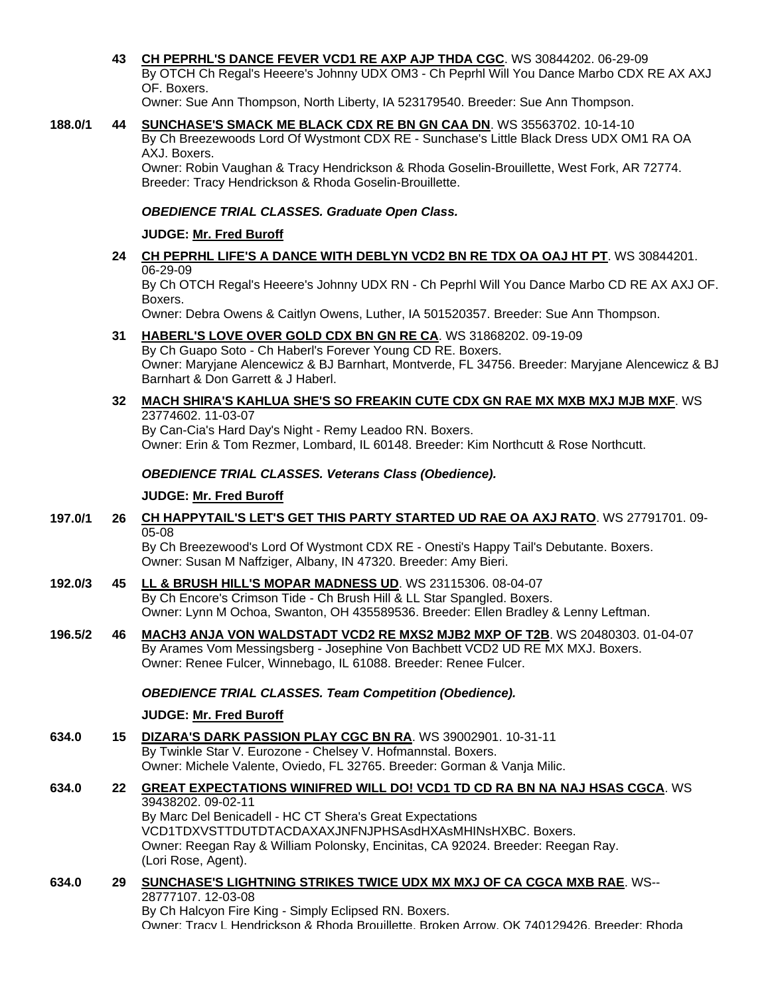**43 [CH PEPRHL'S DANCE FEVER VCD1 RE AXP AJP THDA CGC](http://www.infodog.com/my/drlookup2.htm?makc=WS%2030844202&mdog=Ch+Peprhl%27s+Dance+Fever+VCD1+RE+AXP+AJP+THDA+CGC&wins=all)**. WS 30844202. 06-29-09 By OTCH Ch Regal's Heeere's Johnny UDX OM3 - Ch Peprhl Will You Dance Marbo CDX RE AX AXJ OF. Boxers.

Owner: Sue Ann Thompson, North Liberty, IA 523179540. Breeder: Sue Ann Thompson.

**188.0/1 44 [SUNCHASE'S SMACK ME BLACK CDX RE BN GN CAA DN](http://www.infodog.com/my/drlookup2.htm?makc=WS%2035563702&mdog=Sunchase%27s+Smack+Me+Black+CDX+RE+BN+GN+CAA+DN&wins=all)**. WS 35563702. 10-14-10 By Ch Breezewoods Lord Of Wystmont CDX RE - Sunchase's Little Black Dress UDX OM1 RA OA AXJ. Boxers.

Owner: Robin Vaughan & Tracy Hendrickson & Rhoda Goselin-Brouillette, West Fork, AR 72774. Breeder: Tracy Hendrickson & Rhoda Goselin-Brouillette.

#### *OBEDIENCE TRIAL CLASSES. Graduate Open Class.*

#### **JUDGE: [Mr. Fred Buroff](http://www.infodog.com/show/judge/jdgprofile.htm?jn=5277)**

**24 [CH PEPRHL LIFE'S A DANCE WITH DEBLYN VCD2 BN RE TDX OA OAJ HT PT](http://www.infodog.com/my/drlookup2.htm?makc=WS%2030844201&mdog=Ch+Peprhl+Life%27s+A+Dance+With+DebLyn+VCD2+BN+RE+TDX+OA+OAJ+HT+PT&wins=all)**. WS 30844201. 06-29-09

By Ch OTCH Regal's Heeere's Johnny UDX RN - Ch Peprhl Will You Dance Marbo CD RE AX AXJ OF. Boxers.

Owner: Debra Owens & Caitlyn Owens, Luther, IA 501520357. Breeder: Sue Ann Thompson.

**31 [HABERL'S LOVE OVER GOLD CDX BN GN RE CA](http://www.infodog.com/my/drlookup2.htm?makc=WS%2031868202&mdog=Haberl%27s+Love+Over+Gold+CDX+BN+GN+RE+CA&wins=all)**. WS 31868202. 09-19-09

By Ch Guapo Soto - Ch Haberl's Forever Young CD RE. Boxers. Owner: Maryjane Alencewicz & BJ Barnhart, Montverde, FL 34756. Breeder: Maryjane Alencewicz & BJ Barnhart & Don Garrett & J Haberl.

#### **32 [MACH SHIRA'S KAHLUA SHE'S SO FREAKIN CUTE CDX GN RAE MX MXB MXJ MJB MXF](http://www.infodog.com/my/drlookup2.htm?makc=WS%2023774602&mdog=MACH+Shira%27s+Kahlua+She%27s+So+Freakin+Cute+CDX+GN+RAE+MX+MXB+MXJ+MJB+MXF&wins=all)**. WS 23774602. 11-03-07

By Can-Cia's Hard Day's Night - Remy Leadoo RN. Boxers. Owner: Erin & Tom Rezmer, Lombard, IL 60148, Breeder: Kim Northcutt & Rose Northcutt.

#### *OBEDIENCE TRIAL CLASSES. Veterans Class (Obedience).*

#### **JUDGE: [Mr. Fred Buroff](http://www.infodog.com/show/judge/jdgprofile.htm?jn=5277)**

**197.0/1 26 [CH HAPPYTAIL'S LET'S GET THIS PARTY STARTED UD RAE OA AXJ RATO](http://www.infodog.com/my/drlookup2.htm?makc=WS%2027791701&mdog=Ch+Happytail%27s+Let%27s+Get+This+Party+Started+UD+RAE+OA+AXJ+RATO&wins=all)**. WS 27791701. 09- 05-08

By Ch Breezewood's Lord Of Wystmont CDX RE - Onesti's Happy Tail's Debutante. Boxers. Owner: Susan M Naffziger, Albany, IN 47320. Breeder: Amy Bieri.

- **192.0/3 45 [LL & BRUSH HILL'S MOPAR MADNESS UD](http://www.infodog.com/my/drlookup2.htm?makc=WS%2023115306&mdog=LL+&+Brush+Hill%27s+Mopar+Madness+UD&wins=all)**. WS 23115306. 08-04-07 By Ch Encore's Crimson Tide - Ch Brush Hill & LL Star Spangled. Boxers. Owner: Lynn M Ochoa, Swanton, OH 435589536. Breeder: Ellen Bradley & Lenny Leftman.
- **196.5/2 46 [MACH3 ANJA VON WALDSTADT VCD2 RE MXS2 MJB2 MXP OF T2B](http://www.infodog.com/my/drlookup2.htm?makc=WS%2020480303&mdog=MACH3+Anja+Von+Waldstadt+VCD2+RE+MXS2+MJB2+MXP+OF+T2B&wins=all)**. WS 20480303. 01-04-07 By Arames Vom Messingsberg - Josephine Von Bachbett VCD2 UD RE MX MXJ. Boxers. Owner: Renee Fulcer, Winnebago, IL 61088. Breeder: Renee Fulcer.

#### *OBEDIENCE TRIAL CLASSES. Team Competition (Obedience).*

#### **JUDGE: [Mr. Fred Buroff](http://www.infodog.com/show/judge/jdgprofile.htm?jn=5277)**

**634.0 15 [DIZARA'S DARK PASSION PLAY CGC BN RA](http://www.infodog.com/my/drlookup2.htm?makc=WS%2039002901&mdog=Dizara%27s+Dark+Passion+Play+CGC+BN+RA&wins=all)**. WS 39002901. 10-31-11 By Twinkle Star V. Eurozone - Chelsey V. Hofmannstal. Boxers. Owner: Michele Valente, Oviedo, FL 32765. Breeder: Gorman & Vanja Milic.

#### **634.0 22 [GREAT EXPECTATIONS WINIFRED WILL DO! VCD1 TD CD RA BN NA NAJ HSAS CGCA](http://www.infodog.com/my/drlookup2.htm?makc=WS%2039438202&mdog=Great+Expectations+Winifred+Will+Do%21+VCD1+TD+CD+RA+BN+NA+NAJ+HSAs+CGCA&wins=all)**. WS 39438202. 09-02-11 By Marc Del Benicadell - HC CT Shera's Great Expectations VCD1TDXVSTTDUTDTACDAXAXJNFNJPHSAsdHXAsMHINsHXBC. Boxers. Owner: Reegan Ray & William Polonsky, Encinitas, CA 92024. Breeder: Reegan Ray. (Lori Rose, Agent).

**634.0 29 [SUNCHASE'S LIGHTNING STRIKES TWICE UDX MX MXJ OF CA CGCA MXB RAE](http://www.infodog.com/my/drlookup2.htm?makc=WS--28777107&mdog=Sunchase%27s+Lightning+Strikes+Twice+UDX+MX+MXJ+OF+CA+CGCA+MXB+RAE&wins=all)**. WS-- 28777107. 12-03-08 By Ch Halcyon Fire King - Simply Eclipsed RN. Boxers. Owner: Tracy L Hendrickson & Rhoda Brouillette, Broken Arrow, OK 740129426. Breeder: Rhoda